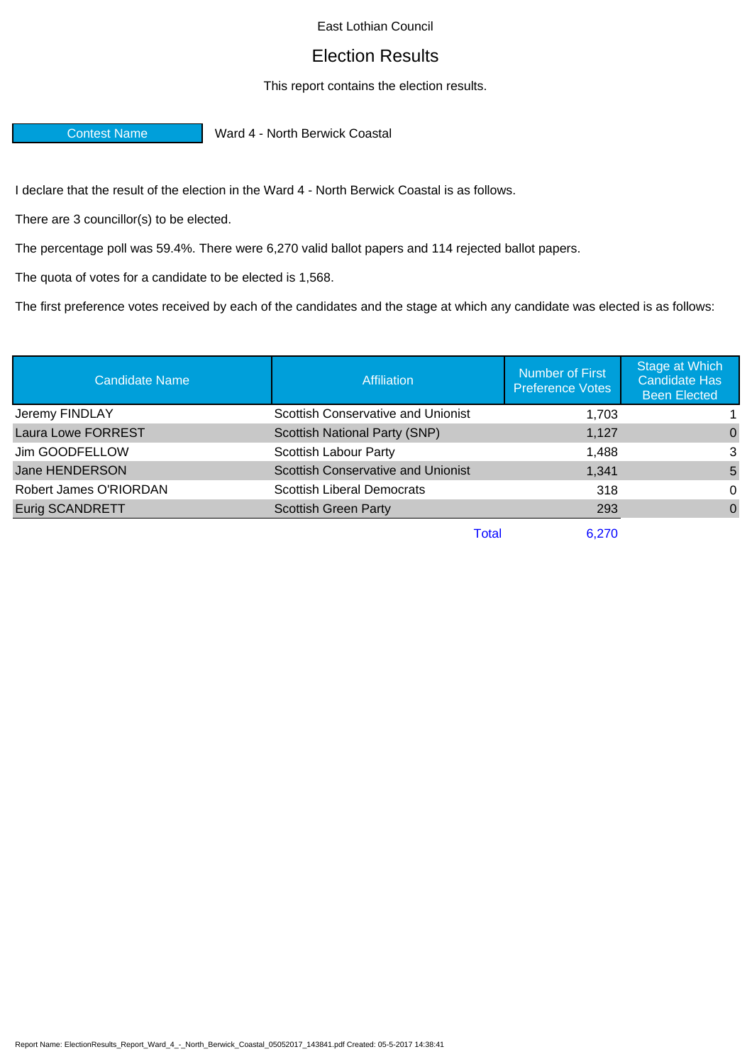## East Lothian Council

## Election Results

## This report contains the election results.

Contest Name Ward 4 - North Berwick Coastal

I declare that the result of the election in the Ward 4 - North Berwick Coastal is as follows.

There are 3 councillor(s) to be elected.

The percentage poll was 59.4%. There were 6,270 valid ballot papers and 114 rejected ballot papers.

The quota of votes for a candidate to be elected is 1,568.

The first preference votes received by each of the candidates and the stage at which any candidate was elected is as follows:

| <b>Candidate Name</b>  | Affiliation                               | Number of First<br><b>Preference Votes</b> | Stage at Which<br>Candidate Has<br><b>Been Elected</b> |
|------------------------|-------------------------------------------|--------------------------------------------|--------------------------------------------------------|
| Jeremy FINDLAY         | <b>Scottish Conservative and Unionist</b> | 1,703                                      |                                                        |
| Laura Lowe FORREST     | Scottish National Party (SNP)             | 1,127                                      | $\Omega$                                               |
| Jim GOODFELLOW         | Scottish Labour Party                     | 1,488                                      | 3                                                      |
| Jane HENDERSON         | <b>Scottish Conservative and Unionist</b> | 1,341                                      | 5                                                      |
| Robert James O'RIORDAN | <b>Scottish Liberal Democrats</b>         | 318                                        | $\Omega$                                               |
| <b>Eurig SCANDRETT</b> | <b>Scottish Green Party</b>               | 293                                        | $\Omega$                                               |
|                        | Total                                     | 6.270                                      |                                                        |